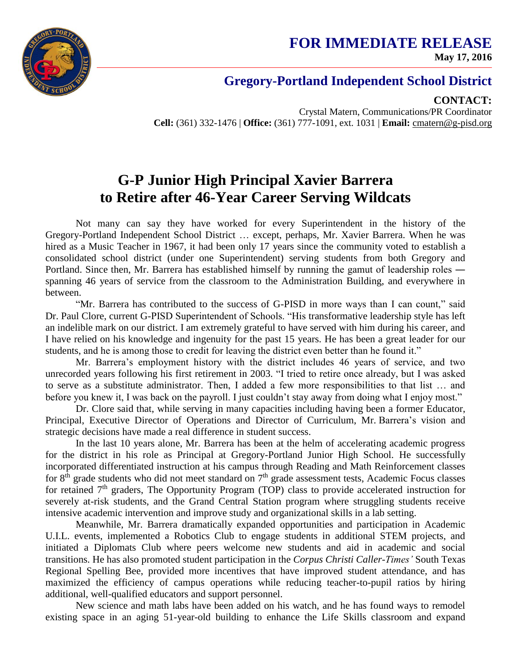

## **FOR IMMEDIATE RELEASE May 17, 2016**

## **Gregory-Portland Independent School District**

**CONTACT:**

Crystal Matern, Communications/PR Coordinator **Cell:** (361) 332-1476 | **Office:** (361) 777-1091, ext. 1031 | **Email:** cmatern@g-pisd.org

## **G-P Junior High Principal Xavier Barrera to Retire after 46-Year Career Serving Wildcats**

Not many can say they have worked for every Superintendent in the history of the Gregory-Portland Independent School District … except, perhaps, Mr. Xavier Barrera. When he was hired as a Music Teacher in 1967, it had been only 17 years since the community voted to establish a consolidated school district (under one Superintendent) serving students from both Gregory and Portland. Since then, Mr. Barrera has established himself by running the gamut of leadership roles ― spanning 46 years of service from the classroom to the Administration Building, and everywhere in between.

"Mr. Barrera has contributed to the success of G-PISD in more ways than I can count," said Dr. Paul Clore, current G-PISD Superintendent of Schools. "His transformative leadership style has left an indelible mark on our district. I am extremely grateful to have served with him during his career, and I have relied on his knowledge and ingenuity for the past 15 years. He has been a great leader for our students, and he is among those to credit for leaving the district even better than he found it."

Mr. Barrera's employment history with the district includes 46 years of service, and two unrecorded years following his first retirement in 2003. "I tried to retire once already, but I was asked to serve as a substitute administrator. Then, I added a few more responsibilities to that list … and before you knew it, I was back on the payroll. I just couldn't stay away from doing what I enjoy most."

Dr. Clore said that, while serving in many capacities including having been a former Educator, Principal, Executive Director of Operations and Director of Curriculum, Mr. Barrera's vision and strategic decisions have made a real difference in student success.

In the last 10 years alone, Mr. Barrera has been at the helm of accelerating academic progress for the district in his role as Principal at Gregory-Portland Junior High School. He successfully incorporated differentiated instruction at his campus through Reading and Math Reinforcement classes for  $8<sup>th</sup>$  grade students who did not meet standard on  $7<sup>th</sup>$  grade assessment tests, Academic Focus classes for retained  $7<sup>th</sup>$  graders, The Opportunity Program (TOP) class to provide accelerated instruction for severely at-risk students, and the Grand Central Station program where struggling students receive intensive academic intervention and improve study and organizational skills in a lab setting.

Meanwhile, Mr. Barrera dramatically expanded opportunities and participation in Academic U.I.L. events, implemented a Robotics Club to engage students in additional STEM projects, and initiated a Diplomats Club where peers welcome new students and aid in academic and social transitions. He has also promoted student participation in the *Corpus Christi Caller-Times'* South Texas Regional Spelling Bee, provided more incentives that have improved student attendance, and has maximized the efficiency of campus operations while reducing teacher-to-pupil ratios by hiring additional, well-qualified educators and support personnel.

New science and math labs have been added on his watch, and he has found ways to remodel existing space in an aging 51-year-old building to enhance the Life Skills classroom and expand